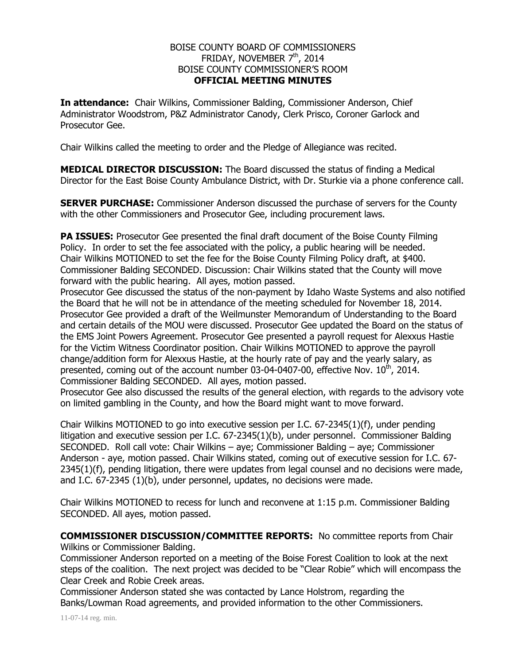## BOISE COUNTY BOARD OF COMMISSIONERS FRIDAY, NOVEMBER  $7<sup>th</sup>$ , 2014 BOISE COUNTY COMMISSIONER'S ROOM **OFFICIAL MEETING MINUTES**

**In attendance:** Chair Wilkins, Commissioner Balding, Commissioner Anderson, Chief Administrator Woodstrom, P&Z Administrator Canody, Clerk Prisco, Coroner Garlock and Prosecutor Gee.

Chair Wilkins called the meeting to order and the Pledge of Allegiance was recited.

**MEDICAL DIRECTOR DISCUSSION:** The Board discussed the status of finding a Medical Director for the East Boise County Ambulance District, with Dr. Sturkie via a phone conference call.

**SERVER PURCHASE:** Commissioner Anderson discussed the purchase of servers for the County with the other Commissioners and Prosecutor Gee, including procurement laws.

**PA ISSUES:** Prosecutor Gee presented the final draft document of the Boise County Filming Policy. In order to set the fee associated with the policy, a public hearing will be needed. Chair Wilkins MOTIONED to set the fee for the Boise County Filming Policy draft, at \$400. Commissioner Balding SECONDED. Discussion: Chair Wilkins stated that the County will move forward with the public hearing. All ayes, motion passed.

Prosecutor Gee discussed the status of the non-payment by Idaho Waste Systems and also notified the Board that he will not be in attendance of the meeting scheduled for November 18, 2014. Prosecutor Gee provided a draft of the Weilmunster Memorandum of Understanding to the Board and certain details of the MOU were discussed. Prosecutor Gee updated the Board on the status of the EMS Joint Powers Agreement. Prosecutor Gee presented a payroll request for Alexxus Hastie for the Victim Witness Coordinator position. Chair Wilkins MOTIONED to approve the payroll change/addition form for Alexxus Hastie, at the hourly rate of pay and the yearly salary, as presented, coming out of the account number 03-04-0407-00, effective Nov.  $10^{th}$ , 2014. Commissioner Balding SECONDED. All ayes, motion passed.

Prosecutor Gee also discussed the results of the general election, with regards to the advisory vote on limited gambling in the County, and how the Board might want to move forward.

Chair Wilkins MOTIONED to go into executive session per I.C. 67-2345(1)(f), under pending litigation and executive session per I.C. 67-2345(1)(b), under personnel. Commissioner Balding SECONDED. Roll call vote: Chair Wilkins – aye; Commissioner Balding – aye; Commissioner Anderson - aye, motion passed. Chair Wilkins stated, coming out of executive session for I.C. 67- 2345(1)(f), pending litigation, there were updates from legal counsel and no decisions were made, and I.C. 67-2345 (1)(b), under personnel, updates, no decisions were made.

Chair Wilkins MOTIONED to recess for lunch and reconvene at 1:15 p.m. Commissioner Balding SECONDED. All ayes, motion passed.

**COMMISSIONER DISCUSSION/COMMITTEE REPORTS:** No committee reports from Chair Wilkins or Commissioner Balding.

Commissioner Anderson reported on a meeting of the Boise Forest Coalition to look at the next steps of the coalition. The next project was decided to be "Clear Robie" which will encompass the Clear Creek and Robie Creek areas.

Commissioner Anderson stated she was contacted by Lance Holstrom, regarding the Banks/Lowman Road agreements, and provided information to the other Commissioners.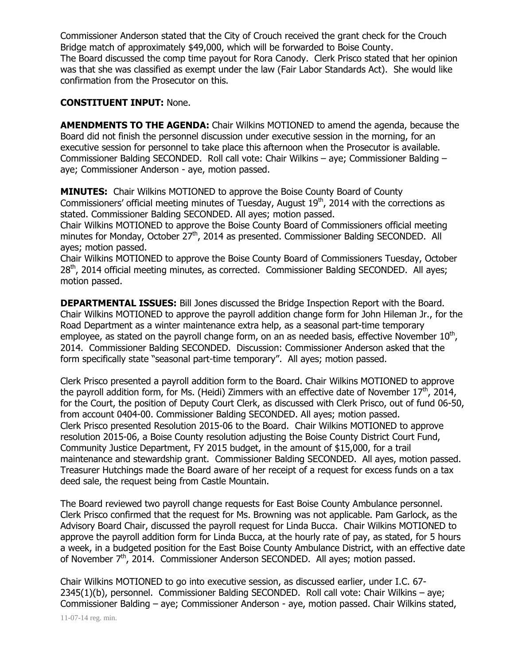Commissioner Anderson stated that the City of Crouch received the grant check for the Crouch Bridge match of approximately \$49,000, which will be forwarded to Boise County. The Board discussed the comp time payout for Rora Canody. Clerk Prisco stated that her opinion was that she was classified as exempt under the law (Fair Labor Standards Act). She would like confirmation from the Prosecutor on this.

## **CONSTITUENT INPUT:** None.

**AMENDMENTS TO THE AGENDA:** Chair Wilkins MOTIONED to amend the agenda, because the Board did not finish the personnel discussion under executive session in the morning, for an executive session for personnel to take place this afternoon when the Prosecutor is available. Commissioner Balding SECONDED. Roll call vote: Chair Wilkins – aye; Commissioner Balding – aye; Commissioner Anderson - aye, motion passed.

**MINUTES:** Chair Wilkins MOTIONED to approve the Boise County Board of County Commissioners' official meeting minutes of Tuesday, August 19<sup>th</sup>, 2014 with the corrections as stated. Commissioner Balding SECONDED. All ayes; motion passed.

Chair Wilkins MOTIONED to approve the Boise County Board of Commissioners official meeting minutes for Monday, October 27<sup>th</sup>, 2014 as presented. Commissioner Balding SECONDED. All ayes; motion passed.

Chair Wilkins MOTIONED to approve the Boise County Board of Commissioners Tuesday, October 28<sup>th</sup>, 2014 official meeting minutes, as corrected. Commissioner Balding SECONDED. All ayes; motion passed.

**DEPARTMENTAL ISSUES:** Bill Jones discussed the Bridge Inspection Report with the Board. Chair Wilkins MOTIONED to approve the payroll addition change form for John Hileman Jr., for the Road Department as a winter maintenance extra help, as a seasonal part-time temporary employee, as stated on the payroll change form, on an as needed basis, effective November  $10^{th}$ , 2014. Commissioner Balding SECONDED. Discussion: Commissioner Anderson asked that the form specifically state "seasonal part-time temporary". All ayes; motion passed.

Clerk Prisco presented a payroll addition form to the Board. Chair Wilkins MOTIONED to approve the payroll addition form, for Ms. (Heidi) Zimmers with an effective date of November  $17<sup>th</sup>$ , 2014, for the Court, the position of Deputy Court Clerk, as discussed with Clerk Prisco, out of fund 06-50, from account 0404-00. Commissioner Balding SECONDED. All ayes; motion passed. Clerk Prisco presented Resolution 2015-06 to the Board. Chair Wilkins MOTIONED to approve resolution 2015-06, a Boise County resolution adjusting the Boise County District Court Fund, Community Justice Department, FY 2015 budget, in the amount of \$15,000, for a trail maintenance and stewardship grant. Commissioner Balding SECONDED. All ayes, motion passed. Treasurer Hutchings made the Board aware of her receipt of a request for excess funds on a tax deed sale, the request being from Castle Mountain.

The Board reviewed two payroll change requests for East Boise County Ambulance personnel. Clerk Prisco confirmed that the request for Ms. Browning was not applicable. Pam Garlock, as the Advisory Board Chair, discussed the payroll request for Linda Bucca. Chair Wilkins MOTIONED to approve the payroll addition form for Linda Bucca, at the hourly rate of pay, as stated, for 5 hours a week, in a budgeted position for the East Boise County Ambulance District, with an effective date of November 7<sup>th</sup>, 2014. Commissioner Anderson SECONDED. All ayes; motion passed.

Chair Wilkins MOTIONED to go into executive session, as discussed earlier, under I.C. 67- 2345(1)(b), personnel. Commissioner Balding SECONDED. Roll call vote: Chair Wilkins – aye; Commissioner Balding – aye; Commissioner Anderson - aye, motion passed. Chair Wilkins stated,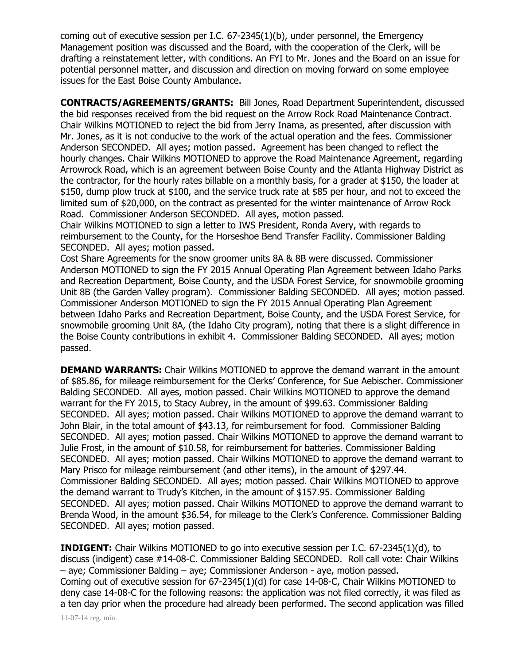coming out of executive session per I.C. 67-2345(1)(b), under personnel, the Emergency Management position was discussed and the Board, with the cooperation of the Clerk, will be drafting a reinstatement letter, with conditions. An FYI to Mr. Jones and the Board on an issue for potential personnel matter, and discussion and direction on moving forward on some employee issues for the East Boise County Ambulance.

**CONTRACTS/AGREEMENTS/GRANTS:** Bill Jones, Road Department Superintendent, discussed the bid responses received from the bid request on the Arrow Rock Road Maintenance Contract. Chair Wilkins MOTIONED to reject the bid from Jerry Inama, as presented, after discussion with Mr. Jones, as it is not conducive to the work of the actual operation and the fees. Commissioner Anderson SECONDED. All ayes; motion passed. Agreement has been changed to reflect the hourly changes. Chair Wilkins MOTIONED to approve the Road Maintenance Agreement, regarding Arrowrock Road, which is an agreement between Boise County and the Atlanta Highway District as the contractor, for the hourly rates billable on a monthly basis, for a grader at \$150, the loader at \$150, dump plow truck at \$100, and the service truck rate at \$85 per hour, and not to exceed the limited sum of \$20,000, on the contract as presented for the winter maintenance of Arrow Rock Road. Commissioner Anderson SECONDED. All ayes, motion passed.

Chair Wilkins MOTIONED to sign a letter to IWS President, Ronda Avery, with regards to reimbursement to the County, for the Horseshoe Bend Transfer Facility. Commissioner Balding SECONDED. All ayes; motion passed.

Cost Share Agreements for the snow groomer units 8A & 8B were discussed. Commissioner Anderson MOTIONED to sign the FY 2015 Annual Operating Plan Agreement between Idaho Parks and Recreation Department, Boise County, and the USDA Forest Service, for snowmobile grooming Unit 8B (the Garden Valley program). Commissioner Balding SECONDED. All ayes; motion passed. Commissioner Anderson MOTIONED to sign the FY 2015 Annual Operating Plan Agreement between Idaho Parks and Recreation Department, Boise County, and the USDA Forest Service, for snowmobile grooming Unit 8A, (the Idaho City program), noting that there is a slight difference in the Boise County contributions in exhibit 4. Commissioner Balding SECONDED. All ayes; motion passed.

**DEMAND WARRANTS:** Chair Wilkins MOTIONED to approve the demand warrant in the amount of \$85.86, for mileage reimbursement for the Clerks' Conference, for Sue Aebischer. Commissioner Balding SECONDED. All ayes, motion passed. Chair Wilkins MOTIONED to approve the demand warrant for the FY 2015, to Stacy Aubrey, in the amount of \$99.63. Commissioner Balding SECONDED. All ayes; motion passed. Chair Wilkins MOTIONED to approve the demand warrant to John Blair, in the total amount of \$43.13, for reimbursement for food. Commissioner Balding SECONDED. All ayes; motion passed. Chair Wilkins MOTIONED to approve the demand warrant to Julie Frost, in the amount of \$10.58, for reimbursement for batteries. Commissioner Balding SECONDED. All ayes; motion passed. Chair Wilkins MOTIONED to approve the demand warrant to Mary Prisco for mileage reimbursement (and other items), in the amount of \$297.44. Commissioner Balding SECONDED. All ayes; motion passed. Chair Wilkins MOTIONED to approve the demand warrant to Trudy's Kitchen, in the amount of \$157.95. Commissioner Balding SECONDED. All ayes; motion passed. Chair Wilkins MOTIONED to approve the demand warrant to Brenda Wood, in the amount \$36.54, for mileage to the Clerk's Conference. Commissioner Balding SECONDED. All ayes; motion passed.

**INDIGENT:** Chair Wilkins MOTIONED to go into executive session per I.C. 67-2345(1)(d), to discuss (indigent) case #14-08-C. Commissioner Balding SECONDED. Roll call vote: Chair Wilkins – aye; Commissioner Balding – aye; Commissioner Anderson - aye, motion passed. Coming out of executive session for 67-2345(1)(d) for case 14-08-C, Chair Wilkins MOTIONED to deny case 14-08-C for the following reasons: the application was not filed correctly, it was filed as a ten day prior when the procedure had already been performed. The second application was filled